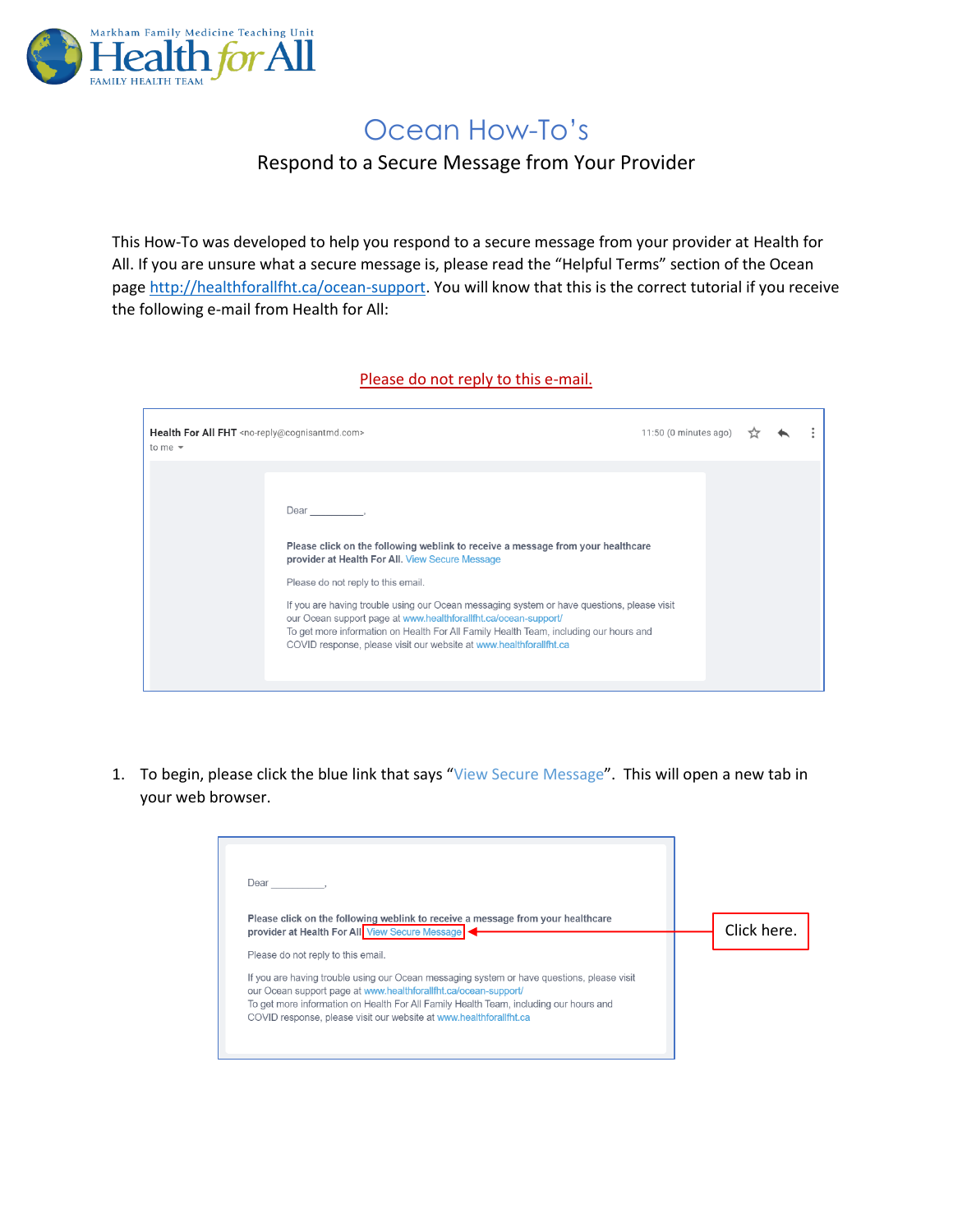

## Ocean How-To's

## Respond to a Secure Message from Your Provider

This How-To was developed to help you respond to a secure message from your provider at Health for All. If you are unsure what a secure message is, please read the "Helpful Terms" section of the Ocean page [http://healthforallfht.ca/ocean-support.](http://healthforallfht.ca/ocean-support) You will know that this is the correct tutorial if you receive the following e-mail from Health for All:

## Please do not reply to this e-mail.

| Health For All FHT <no-reply@cognisantmd.com><br/>to me <math>\sqrt{}</math></no-reply@cognisantmd.com>                                                                                                                                                                                                                                                                                                                                                                                                                   | 11:50 (0 minutes ago) |  |  |
|---------------------------------------------------------------------------------------------------------------------------------------------------------------------------------------------------------------------------------------------------------------------------------------------------------------------------------------------------------------------------------------------------------------------------------------------------------------------------------------------------------------------------|-----------------------|--|--|
| Dear ________<br>Please click on the following weblink to receive a message from your healthcare<br>provider at Health For All. View Secure Message<br>Please do not reply to this email.<br>If you are having trouble using our Ocean messaging system or have questions, please visit<br>our Ocean support page at www.healthforallfht.ca/ocean-support/<br>To get more information on Health For All Family Health Team, including our hours and<br>COVID response, please visit our website at www.healthforallfht.ca |                       |  |  |

1. To begin, please click the blue link that says "View Secure Message". This will open a new tab in your web browser.

| Dear                                                                                                                                                                                                                                                                                                                         |             |
|------------------------------------------------------------------------------------------------------------------------------------------------------------------------------------------------------------------------------------------------------------------------------------------------------------------------------|-------------|
| Please click on the following weblink to receive a message from your healthcare<br>provider at Health For All. View Secure Message                                                                                                                                                                                           | Click here. |
| Please do not reply to this email.                                                                                                                                                                                                                                                                                           |             |
| If you are having trouble using our Ocean messaging system or have questions, please visit<br>our Ocean support page at www.healthforallfht.ca/ocean-support/<br>To get more information on Health For All Family Health Team, including our hours and<br>COVID response, please visit our website at www.healthforallfht.ca |             |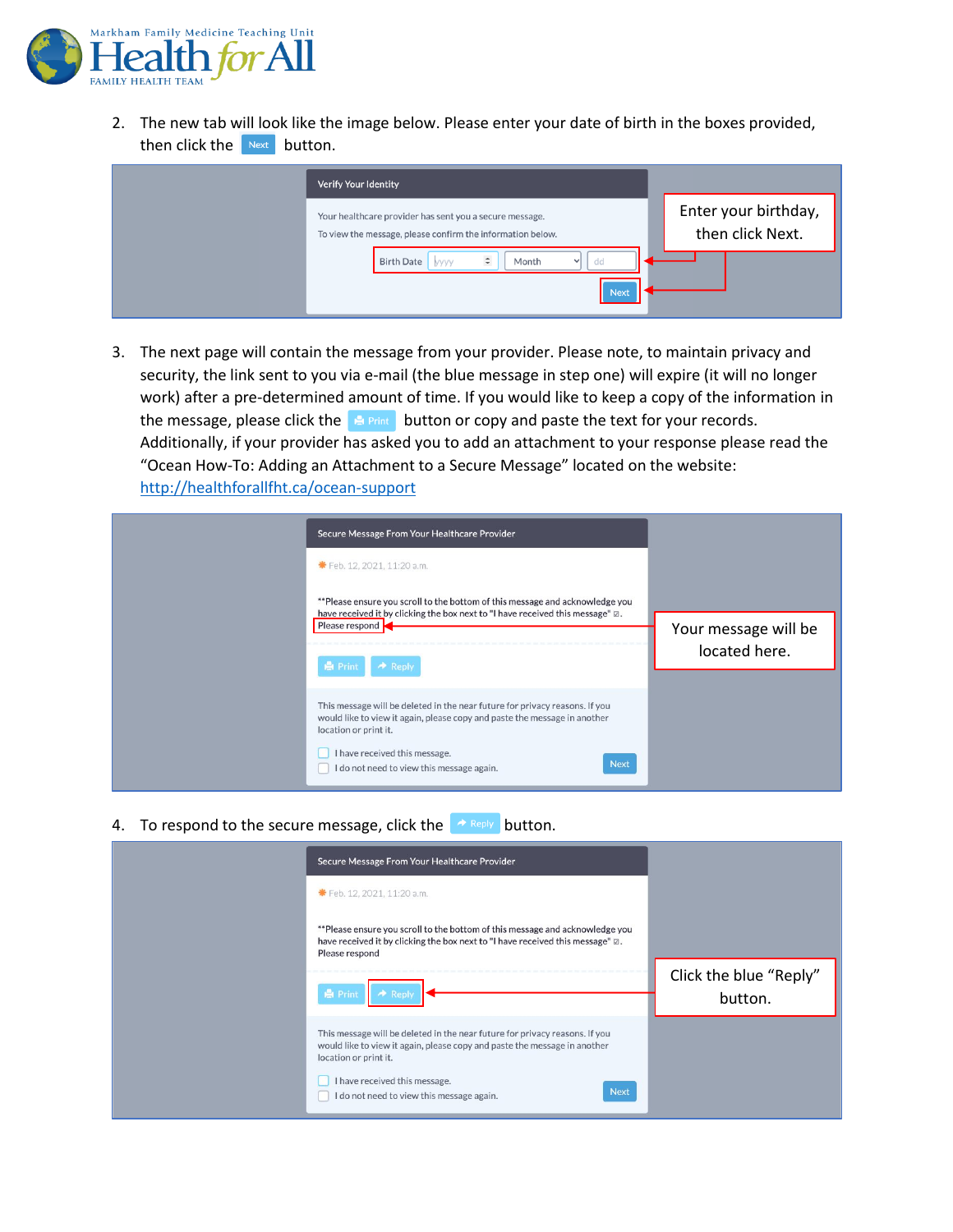

2. The new tab will look like the image below. Please enter your date of birth in the boxes provided, then click the  $N_{\text{ext}}$  button.

| Verify Your Identity                                                                                                  |                                          |
|-----------------------------------------------------------------------------------------------------------------------|------------------------------------------|
| Your healthcare provider has sent you a secure message.<br>To view the message, please confirm the information below. | Enter your birthday,<br>then click Next. |
| $\hat{\mathbb{I}}$<br>dd<br><b>Birth Date</b><br>Month<br>yyyy<br>$\checkmark$<br><b>Next</b>                         |                                          |

3. The next page will contain the message from your provider. Please note, to maintain privacy and security, the link sent to you via e-mail (the blue message in step one) will expire (it will no longer work) after a pre-determined amount of time. If you would like to keep a copy of the information in the message, please click the  $\mathbb{R}$  Print button or copy and paste the text for your records. Additionally, if your provider has asked you to add an attachment to your response please read the "Ocean How-To: Adding an Attachment to a Secure Message" located on the website: <http://healthforallfht.ca/ocean-support>

| Secure Message From Your Healthcare Provider                                                                                                                                      |                                       |
|-----------------------------------------------------------------------------------------------------------------------------------------------------------------------------------|---------------------------------------|
| ₩ Feb. 12, 2021, 11:20 a.m.                                                                                                                                                       |                                       |
| **Please ensure you scroll to the bottom of this message and acknowledge you<br>have received it by clicking the box next to "I have received this message" $\boxtimes$ .         |                                       |
| Please respond                                                                                                                                                                    | Your message will be<br>located here. |
| $\rightarrow$ Reply<br><b>Print</b>                                                                                                                                               |                                       |
| This message will be deleted in the near future for privacy reasons. If you<br>would like to view it again, please copy and paste the message in another<br>location or print it. |                                       |
| I have received this message.<br><b>Next</b><br>I do not need to view this message again.                                                                                         |                                       |

4. To respond to the secure message, click the  $\rightarrow$  Reply button.

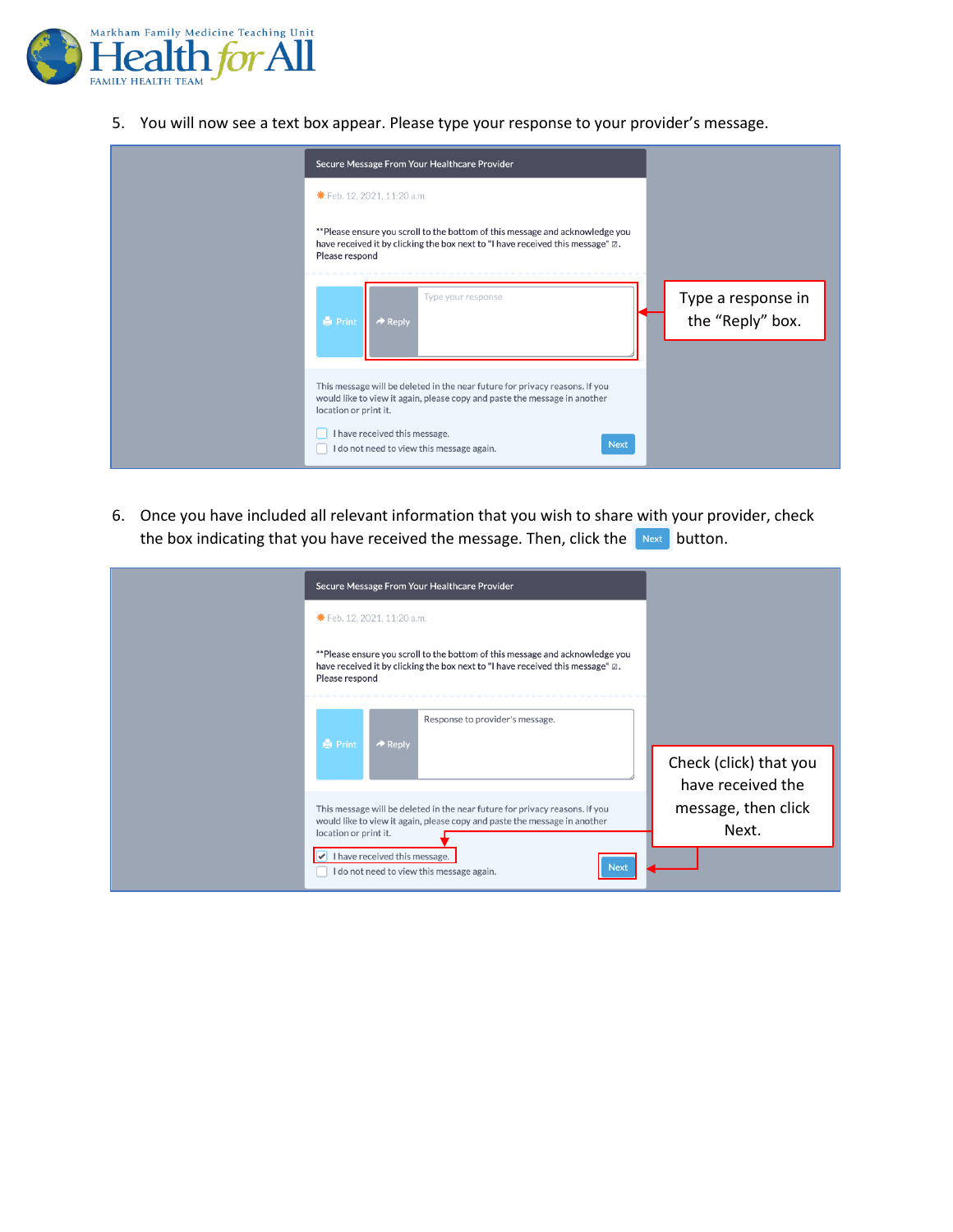

5. You will now see a text box appear. Please type your response to your provider's message.

| Secure Message From Your Healthcare Provider                                                                                                                                                                                                                                   |                                        |
|--------------------------------------------------------------------------------------------------------------------------------------------------------------------------------------------------------------------------------------------------------------------------------|----------------------------------------|
| <b>*</b> Feb. 12, 2021, 11:20 a.m.                                                                                                                                                                                                                                             |                                        |
| **Please ensure you scroll to the bottom of this message and acknowledge you<br>have received it by clicking the box next to "I have received this message" $\varnothing$ .<br>Please respond                                                                                  |                                        |
| Type your response<br><b>A</b> Print<br>$\rightarrow$ Reply                                                                                                                                                                                                                    | Type a response in<br>the "Reply" box. |
| This message will be deleted in the near future for privacy reasons. If you<br>would like to view it again, please copy and paste the message in another<br>location or print it.<br>I have received this message.<br><b>Next</b><br>I do not need to view this message again. |                                        |

6. Once you have included all relevant information that you wish to share with your provider, check the box indicating that you have received the message. Then, click the  $\sqrt{\frac{Next}{D}}$  button.

|  | Secure Message From Your Healthcare Provider                                                                                                                                                                                                                                   |                                             |
|--|--------------------------------------------------------------------------------------------------------------------------------------------------------------------------------------------------------------------------------------------------------------------------------|---------------------------------------------|
|  | * Feb. 12, 2021, 11:20 a.m.                                                                                                                                                                                                                                                    |                                             |
|  | **Please ensure you scroll to the bottom of this message and acknowledge you<br>have received it by clicking the box next to "I have received this message" $\varnothing$ .<br>Please respond                                                                                  |                                             |
|  | Response to provider's message.<br><b>Print</b><br>$\rightarrow$ Reply                                                                                                                                                                                                         | Check (click) that you<br>have received the |
|  | This message will be deleted in the near future for privacy reasons. If you<br>would like to view it again, please copy and paste the message in another<br>location or print it.<br>I have received this message.<br><b>Next</b><br>I do not need to view this message again. | message, then click<br>Next.                |